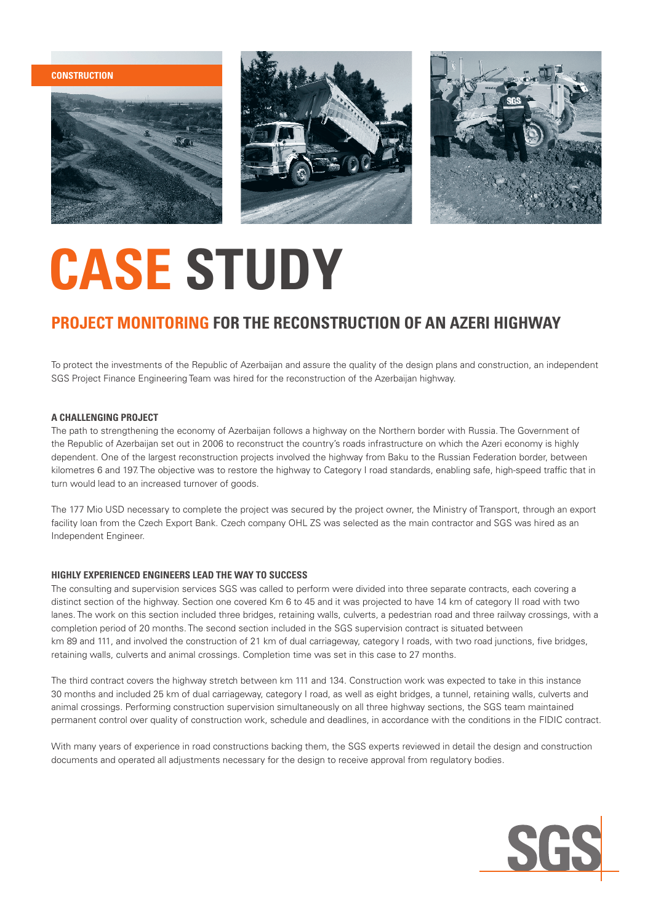**construction**







## **CASE STUDY**

### **project monitoring for the reconstruction of an Azeri highway**

To protect the investments of the Republic of Azerbaijan and assure the quality of the design plans and construction, an independent SGS Project Finance Engineering Team was hired for the reconstruction of the Azerbaijan highway.

#### **a chAllenging project**

The path to strengthening the economy of Azerbaijan follows a highway on the Northern border with Russia. The Government of the Republic of Azerbaijan set out in 2006 to reconstruct the country's roads infrastructure on which the Azeri economy is highly dependent. One of the largest reconstruction projects involved the highway from Baku to the Russian Federation border, between kilometres 6 and 197. The objective was to restore the highway to Category I road standards, enabling safe, high-speed traffic that in turn would lead to an increased turnover of goods.

The 177 Mio USD necessary to complete the project was secured by the project owner, the Ministry of Transport, through an export facility loan from the Czech Export Bank. Czech company OHL ZS was selected as the main contractor and SGS was hired as an Independent Engineer.

#### **Highly experienced engineers lead the way to success**

The consulting and supervision services SGS was called to perform were divided into three separate contracts, each covering a distinct section of the highway. Section one covered Km 6 to 45 and it was projected to have 14 km of category II road with two lanes. The work on this section included three bridges, retaining walls, culverts, a pedestrian road and three railway crossings, with a completion period of 20 months. The second section included in the SGS supervision contract is situated between km 89 and 111, and involved the construction of 21 km of dual carriageway, category I roads, with two road junctions, five bridges, retaining walls, culverts and animal crossings. Completion time was set in this case to 27 months.

The third contract covers the highway stretch between km 111 and 134. Construction work was expected to take in this instance 30 months and included 25 km of dual carriageway, category I road, as well as eight bridges, a tunnel, retaining walls, culverts and animal crossings. Performing construction supervision simultaneously on all three highway sections, the SGS team maintained permanent control over quality of construction work, schedule and deadlines, in accordance with the conditions in the FIDIC contract.

With many years of experience in road constructions backing them, the SGS experts reviewed in detail the design and construction documents and operated all adjustments necessary for the design to receive approval from regulatory bodies.